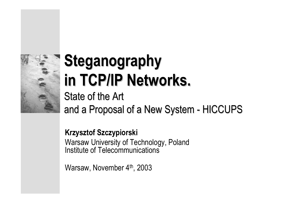

# **Steganography Steganography in TCP/IP Networks. in TCP/IP Networks.**

State of the Art and a Proposal of a New System - HICCUPS

**Krzysztof Szczypiorski**

Warsaw University of Technology, Poland Institute of Telecommunications

Warsaw, November 4th, 2003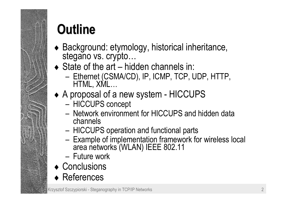

## **Outline Outline**

- ◆ Background: etymology, historical inheritance,<br>stegano vs. crypto...
- $\triangle$  State of the art hidden channels in:
	- **n** – Ethernet (CSMA/CD), IP, ICMP, TCP, UDP, HTTP,<br>HTML, XML…
- ♦ A proposal of a new system HICCUPS
	- **na**ñ HICCUPS concept
	- $-$  Network environment for HICCUPS and hidden data channels
	- **na**ñ – HICCUPS operation and functional parts
	- **na**ñ Example of implementation framework for wireless local area networks (WLAN) IEEE 802.11
	- Future work
- ♦ Conclusions
- ♦ References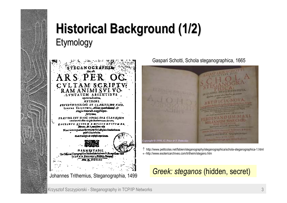#### **Historical Background Historical Background (1/2) Etymology**



Gaspari Schotti, Schola steganographica, 1665



↑ http://www.petitcolas.net/fabien/steganography/steganographica/schola-steganographica-1.html <sup>←</sup>http://www.esotericarchives.com/tritheim/stegano.htm

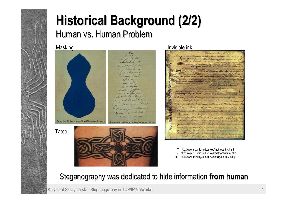#### **Historical Background (2/2)** Human vs. Human Problem



#### Masking **Invisible ink Invisible ink**

Roberton, New 6 on compliance with your desires Sending. that hast offered from fifther & maps of continuer may be an eleving) & from a member of the Bonnes Congress that is now letting of Water town. Hieron learn that are demy consisting of 30.000 cifochene moved speed by to be the four New England Ground winds 31 guesta for this Security is 13600. That as fees From the as this idemy shall be rough & expeliated it generally suppose that the first me witched to make a frial attachington of Barlon, & al the same lines desidents! badle with the morning of their string Whether This could be the precise of

↑http://www.si.umich.edu/spies/methods-ink.html

http://www.si.umich.edu/spies/methods-mask.html ↑

←http://www.miki.hg.pl/tatoo%20maly/Image72.jpg

#### Steganography was dedicated to hide information **from human**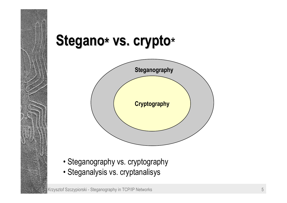# Stegano\* vs. crypto\*



- Steganography vs. cryptography
- Steganalysis vs. cryptanalisys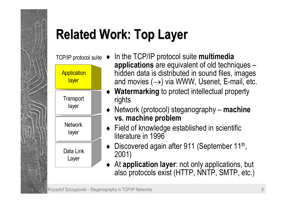# **Related Work: Top Layer Related Work: Top Layer**

♦

T C P/IP protocol s uite



- In the TCP/IP protocol suite **multimedia**  applications are equivalent of old techniques – hidden data is distributed in sound files, images and movies  $(\rightarrow)$  via WWW, Usenet, E-mail, etc.
- ♦ **Watermarking** to protect intellectual property rights
- ♦Network (protocol) steganography – **machine vs. machine problem**
- ♦ Field of knowledge established in scientific literature in 1996
- Discovered again after 911 (September 11<sup>th</sup>, 2001)
- ♦ At **application layer**: not only applications, but also protocols exist (HTTP, NNTP, SMTP, etc.)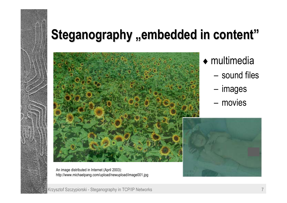### **Steganography "embedded in content"**



- $\bullet$  multimedia
	- $-$  sound files
	- ñ– images
	- movies



An image distributed in Internet (April 2003): http://www.michaelpang.com/upload/newupload/image001.jpg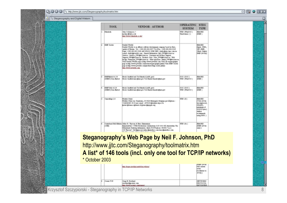Steganography and Digital Waterm.

|   | <b>TOOL</b>                                                                                                                                                                                                                                  | <b>VENDOR - AUTHOR</b>                                                                                                                                                                                                                                                                                                                                                                                                                                                                                                                                                                                                                                                                                                                                                                                 | <b>OPERATING</b><br><b>SYSTEM</b> | <b>STEG</b><br><b>TYPE</b>                                                                                                                       |
|---|----------------------------------------------------------------------------------------------------------------------------------------------------------------------------------------------------------------------------------------------|--------------------------------------------------------------------------------------------------------------------------------------------------------------------------------------------------------------------------------------------------------------------------------------------------------------------------------------------------------------------------------------------------------------------------------------------------------------------------------------------------------------------------------------------------------------------------------------------------------------------------------------------------------------------------------------------------------------------------------------------------------------------------------------------------------|-----------------------------------|--------------------------------------------------------------------------------------------------------------------------------------------------|
| n | <b>Ethnologie</b>                                                                                                                                                                                                                            | Man Collegeaux 1<br>mal to dividual air.<br>Mater Ahmeve Mittade Mit .co .xlin/                                                                                                                                                                                                                                                                                                                                                                                                                                                                                                                                                                                                                                                                                                                        | UTE (WhD05)<br>Underfulness: (1)  | <b>BEACHES:</b><br>(BMP)                                                                                                                         |
| а | DMP Server                                                                                                                                                                                                                                   | <b>Punilal Worlds</b><br>Punilel Worlds is an offshore coltrous development company based in Kiev,<br>(og/ital-of-Ukrains, Tel.: +380 (94) 442 6877 Tel./Fax: +380 (94) 442 6516<br>Pager: +380 (94) 461 0046 doll 180252 063M SMS: duddsdpons.tans.com.tax<br>cenal: dubb.@ywelds.com - Dened Information: Info J/W@Ailstow.us -<br>Services: Services DW-@AtLickw.va. Curtomer and Product Sepport:<br>Supon PW4Mikisovan Products Sale: Sale PW4Mikisovan Web<br>derigs: webmater PW@kbikiev.ns . Other questions: which, PW@kbikiev.ns.<br>Visit Paullel Worlds page at http://www.pswelds.com. Visit our stegenography<br>page at http://www.pworlds.com/techn/viepacography.phtml Vistt E0dF Service<br>laste a http://www.pworlds.com/products/carp-recrets.plated<br>atto: Menne prevelde com- |                                   | <b>BAAGES:</b><br>Susta: IFEG.<br>SF, 1949.<br>DEWEL OURINE<br><b>ESD (24-583)</b>                                                               |
|   | EMPRehed v1.54<br>C EMIC Day Belled                                                                                                                                                                                                          | Brook Sawlford and Tod Handel (LAHL gow)<br>Brook Smitted mix-diled gov Tod Handel thankshilled gov                                                                                                                                                                                                                                                                                                                                                                                                                                                                                                                                                                                                                                                                                                    | 208: (201)<br>(104M) 9IW          | <b>BEACHE</b><br>(BMF)                                                                                                                           |
|   | DMFT464 v2.16<br>(DIGMO) Data Rabed                                                                                                                                                                                                          | Brook Saudford and Ted Handel (LAHL gov)<br>Brook Sunfford rate diluti gov T+d Hundel thundel diluti gov                                                                                                                                                                                                                                                                                                                                                                                                                                                                                                                                                                                                                                                                                               | D05: (D05)<br>WIN: (WallOS)       | <b>BAAGES:</b><br><b>CDMP</b> 1                                                                                                                  |
| ы | Cancullum 2.0<br><b>Frederic Ivoex</b><br>Prédéric Féters rose Chuertruine., 30 4420 Minntegnée Stelgique par téléphone :<br>+32006/263 38 61 per email: s970133 disturbed sile at he<br>priors dicharas algibanet, ch theters dimogole ang. |                                                                                                                                                                                                                                                                                                                                                                                                                                                                                                                                                                                                                                                                                                                                                                                                        | <b>SOR OCT</b>                    | <b>BAAGES:</b><br><b>CT ISA GH-NA</b><br>imcomprisoned.<br>680ml 80<br>minimum of<br>SQ1818 Industr<br><b>Author</b><br>pommed:<br>taring PIFO.) |
|   | CEHED                                                                                                                                                                                                                                        | Costobard Hell Edition Allia: R. Tsyrran & Hers Ziemenson.<br>Introducer / JTHZ Productions Lindestont 52 S 1015 KZ Ansterlan The<br>Hebeled: Beking information: deph PDSTbasker, 943945 'Ln.v.<br>J.B. Thyron". 9:6 dignment, julius-dimindlers.com here dimindlers.com                                                                                                                                                                                                                                                                                                                                                                                                                                                                                                                              | WDR (Sw.)                         | <b>BAAGES:</b><br><b>BMP GENE</b><br>(1400)                                                                                                      |

**Steganographyís Web Page by Neil F. Johnson, PhD** http://www.jjtc.com/Steganography/toolmatrix.htm **A list\* of 146 tools (incl. only one tool for TCP/IP networks)**

\* October 2003

|            | atto: Absauer produce natchibys, orthono-                                             | <b>IDMP GA-NE</b><br><b>NPELL CHEWARE</b><br><b>JUVIPEE</b><br>menhations to<br><b>GRAID</b> 7 |  |
|------------|---------------------------------------------------------------------------------------|------------------------------------------------------------------------------------------------|--|
| Covert-TCP | Cryste H. Rowrigand<br>crowlend dipotents .com.<br>letty./Amont parlands, com/bapara) | <b>SECT BrOBEN</b><br>FROTOCOL:<br><b>IDVITENTEE</b>                                           |  |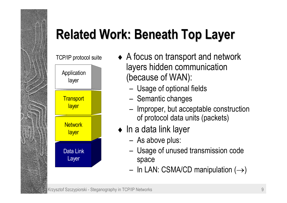# **Related Work: Beneath Top Layer Related Work: Beneath Top Layer**



- TCP/IP protocol suite A focus on transport and network layers hidden communication (because of WAN):
	- Usage of optional fields
	- Semantic changes
	- Improper, but acceptable construction of protocol data units (packets)
	- $\bullet$  In a data link layer
		- As above plus:
		- Usage of unused transmission code space
		- $-$  In LAN: CSMA/CD manipulation  $(\rightarrow)$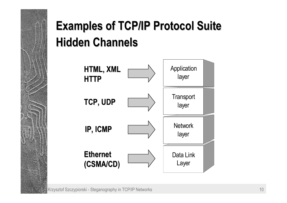#### **Examples of TCP/IP Protocol Suite Hidden Channels Channels**

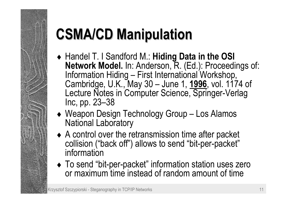# **CSMA/CD Manipulation**

- ♦ Handel T. I Sandford M.: **Hiding Data in the OSI Network Model.** In: Anderson, R. (Ed.): Proceedings of: Information Hiding - First International Workshop, Cambridge, U.K., May 30 – June 1, **1996**, vol. 1174 of Lecture Notes in Computer Science, Springer-Verlag Inc, pp. 23-38
- Weapon Design Technology Group Los Alamos National Laboratory
- ♦ A control over the retransmission time after packet collision ("back off") allows to send "bit-per-packet" information
- To send "bit-per-packet" information station uses zero or maximum time instead of random amount of time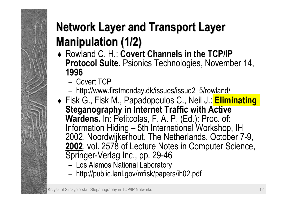#### **Network Layer and Transport Layer Manipulation Manipulation (1/2)**

- ♦ Rowland C. H.: **Covert Channels in the TCP/IP Protocol Suite**. Psionics Technologies, November 14, **1996**
	- Covert TCP
	- http://www.firstmonday.dk/issues/issue2\_5/rowland/
- ♦ Fisk G., Fisk M., Papadopoulos C., Neil J.: **Eliminating Steganography in Internet Traffic with Active Wardens.** In: Petitcolas, F. A. P. (Ed.): Proc. of: Information Hiding – 5th International Workshop, IH 2002, Noordwijkerhout, The Netherlands, October 7-9, **2002**, vol. 2578 of Lecture Notes in Computer Science, Springer-Verlag Inc., pp. 29-46
	- $-$  Los Alamos National Laboratory
	- http://public.lanl.gov/mfisk/papers/ih02.pdf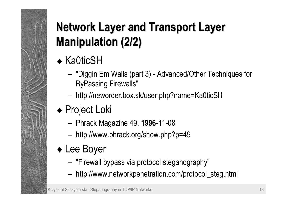#### **Network Layer and Transport Layer Manipulation Manipulation (2/2)**

#### ◆ Ka0ticSH

- "Diggin Em Walls (part 3) Advanced/Other Techniques for ByPassing Firewalls"
- ñhttp://neworder.box.sk/user.php?name=Ka0ticSH
- ◆ Project Loki
	- Phrack Magazine 49, **1996**-11-08
	- http://www.phrack.org/show.php?p=49

#### ♦ Lee Boyer

- ñ"Firewall bypass via protocol steganography"
- ñhttp://www.networkpenetration.com/protocol\_steg.html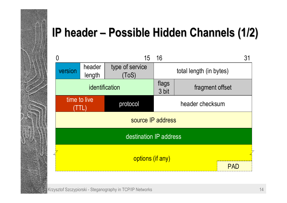

#### **IP header – Possible Hidden Channels (1/2)**

| 0                      |                  | 15                       | 16                                |  | 31         |
|------------------------|------------------|--------------------------|-----------------------------------|--|------------|
| version                | header<br>length | type of service<br>(ToS) | total length (in bytes)           |  |            |
|                        |                  | identification           | flags<br>fragment offset<br>3 bit |  |            |
| time to live           |                  | protocol                 | header checksum                   |  |            |
| source IP address      |                  |                          |                                   |  |            |
| destination IP address |                  |                          |                                   |  |            |
| options (if any)       |                  |                          |                                   |  |            |
|                        |                  |                          |                                   |  | <b>PAL</b> |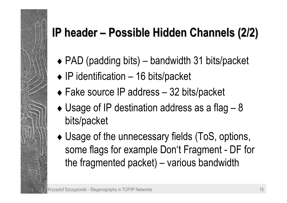#### **IP header – Possible Hidden Channels (2/2)**

- $\bullet$  PAD (padding bits) bandwidth 31 bits/packet
- $\bullet$  IP identification 16 bits/packet
- $\bullet$  Fake source IP address  $-$  32 bits/packet
- $\bullet$  Usage of IP destination address as a flag 8 bits/packet
- ♦ Usage of the unnecessary fields (ToS, options, some flags for example Don't Fragment - DF for the fragmented packet)  $-$  various bandwidth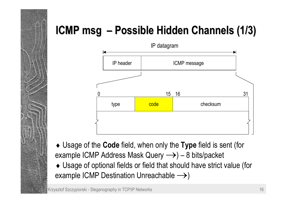#### **ICMP msg – Possible Hidden Channels (1/3)**



♦ Usage of the **Code** field, when only the **Type** field is sent (for example ICMP Address Mask Query  $\rightarrow$ ) – 8 bits/packet

♦ Usage of optional fields or field that should have strict value (for example ICMP Destination Unreachable  $\rightarrow$ )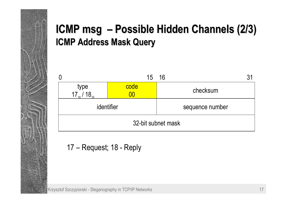#### **ICMP msg – Possible Hidden Channels (2/3) ICMP Address Mask Query ICMP Address Mask Query**



17 – Request; 18 - Reply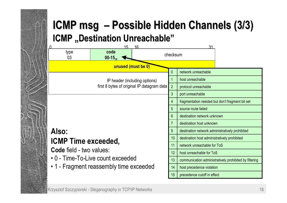#### **ICMP msg – Possible Hidden Channels (3/3) ICMP** "Destination Unreachable"

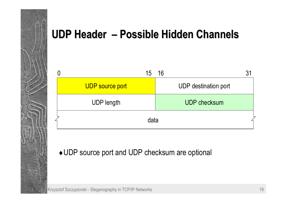#### **UDP Header – Possible Hidden Channels**

| 15                     | 16                          |
|------------------------|-----------------------------|
| <b>UDP</b> source port | <b>UDP</b> destination port |
| <b>UDP length</b>      | <b>UDP checksum</b>         |
| data                   |                             |

#### ♦UDP source port and UDP checksum are optional

Krzysztof Szczypiorski - Steganography in TCP/IP Networks 19 and 19 and 19 and 19 and 19 and 19 and 19 and 19 and 19 and 19 and 19 and 19 and 19 and 19 and 19 and 19 and 19 and 19 and 19 and 19 and 19 and 19 and 19 and 19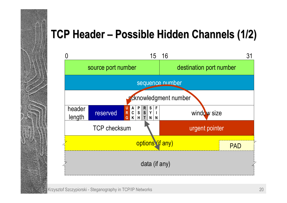#### **TCP Header TCP Header <sup>ñ</sup> Possible Hidden Channels Possible Hidden Channels (1/2)**

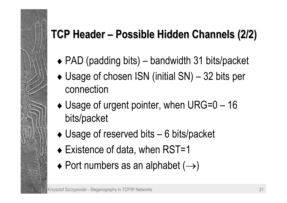#### **TCP Header TCP Header <sup>ñ</sup> Possible Hidden Channels Possible Hidden Channels (2/2)**

- $\bullet$  PAD (padding bits) bandwidth 31 bits/packet
- $\triangleleft$  Usage of chosen ISN (initial SN) 32 bits per connection
- $\blacklozenge$  Usage of urgent pointer, when URG=0 16 bits/packet
- $\bullet$  Usage of reserved bits  $-6$  bits/packet
- ♦ Existence of data, when RST=1
- $\bullet$  Port numbers as an alphabet  $(\rightarrow)$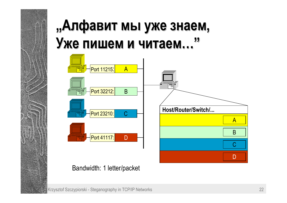# **<sup>Ñ</sup>Алфавит Алфавит мы ужe знаем,**  $\mathbf{y}$ же пишем и читаем..."



#### Bandwidth: 1 letter/packet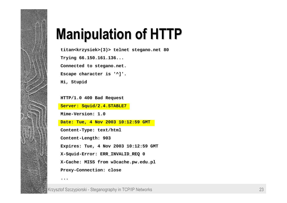

## **Manipulation Manipulation of HTTP of HTTP**

**titan<krzysiek>(3)> telnet stegano.net 80**

**Trying 66.150.161.136... Connected to stegano.net. Escape character is '^]'. Hi, Stupid** 

**HTTP/1.0 400 Bad Request**

**Server: Squid/2.4.STABLE7**

**Mime-Version: 1.0**

**Date: Tue, 4 Nov 2003 10:12:59 GMT**

**Content-Type: text/html**

**Content-Length: 903**

**Expires: Tue, 4 Nov 2003 10:12:59 GMT**

**X-Squid-Error: ERR\_INVALID\_REQ 0**

**X-Cache: MISS from w3cache.pw.edu.pl**

**Proxy-Connection: close**

**...**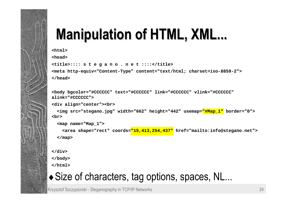# **Manipulation of HTML, XML...**

**<html>**

**<head>**

```
<title>:::: s t e g a n o . n e t ::::</title>
<meta http-equiv="Content-Type" content="text/html; charset=iso-8859-2">
</head>
```

```
<body bgcolor="#CCCCCC" text="#CCCCCC" link="#CCCCCC" vlink="#CCCCCC" 
alink="#CCCCCC"><div align="center"><br>
  <img src="stegano.jpg" width="662" height="442" usemap="#Map_1" border="0"> 
<br><map name="Map_1">
```

```
<area shape="rect" coords="15,413,254,437" href="mailto:info@stegano.net">
```
**</map>**

**</div>**

**</body>**

**</html>**

#### • Size of characters, tag options, spaces, NL...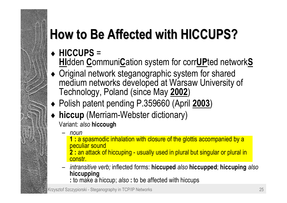# **How to Be Affected Affected with HICCUPS? with HICCUPS?**

- ♦ **HICCUPS** <sup>=</sup> **HI**dden **C**ommuni**C**ation system for corr**UP**ted network**S**
- ♦ Original network steganographic system for shared medium networks developed at Warsaw University of Technology, Poland (since May **2002**)
- ♦ Polish patent pending P.359660 (April **2003**)
- ♦ **hiccup** (Merriam-Webster dictionary) Variant: *also* **hiccough**
	- ñ *noun*
		- **1 :** a spasmodic inhalation with closure of the glottis accompanied by a peculiar sound
		- **2 :** an attack of hiccuping usually used in plural but singular or plural in constr.
	- ñ *intransitive verb;* inflected forms: **hiccuped** *also* **hiccupped**; **hiccuping** *also* **hiccupping**
		- **:** to make a hiccup; *also* **:** to be affected with hiccups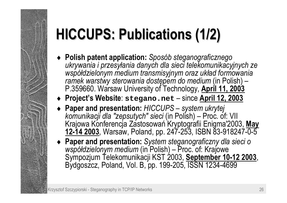# **HICCUPS: HICCUPS: Publications Publications (1/2)**

- ♦ **Polish patent application:** *SposÛb steganograficznego ukrywania i przesyłania danych dla sieci telekomunikacyjnych ze wspÛłdzielonym medium transmisyjnym oraz układ formowania ramek warstwy sterowania dostępem do medium* (in Polish) – P.359660. Warsaw University of Technology, **April 11, 2003**
- ♦ **Projectís Website**: **stegano.net** <sup>ñ</sup> since **April 12, 2003**
- ♦ **Paper and presentation:** *HICCUPS ñ system ukrytej komunikacji dla "zepsutych" sieci* (in Polish) – Proc. of: VII Krajowa Konferencja Zastosowań Kryptografii Enigma'2003, **May 12-14 2003**, Warsaw, Poland, pp. 247-253, ISBN 83-918247-0-5
- ♦ **Paper and presentation:** *System steganograficzny dla sieci <sup>o</sup> współdzielonym medium* (in Polish) – Proc. of: Krajowe Sympozjum Telekomunikacji KST 2003, **September 10-12 2003**, Bydgoszcz, Poland, Vol. B, pp. 199-205, ISSN 1234-4699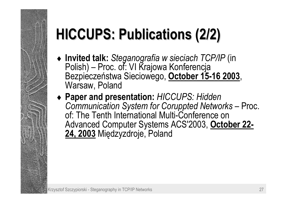# **HICCUPS: HICCUPS: Publications Publications (2/2)**

- ♦ **Invited talk:** *Steganografia w sieciach TCP/IP* (in Polish) – Proc. of: VI Krajowa Konferencja Bezpieczeństwa Sieciowego, **October 15-16 2003**, Warsaw, Poland
- ♦ **Paper and presentation:** *HICCUPS: Hidden Communication System for Coruppted Networks* – Proc. of: The Tenth International Multi-Conference on Advanced Computer Systems ACS'2003, **October 22- 24, 2003** Międzyzdroje, Poland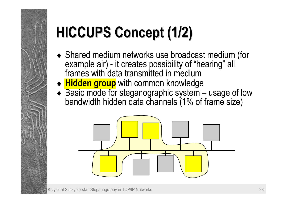# **HICCUPS Concept (1/2)**

- ♦ Shared medium networks use broadcast medium (for example air) - it creates possibility of "hearing" all frames with data transmitted in medium
- ♦ **Hidden group** with common knowledge
- $\triangleleft$  Basic mode for steganographic system  $-$  usage of low bandwidth hidden data channels (1% of frame size)

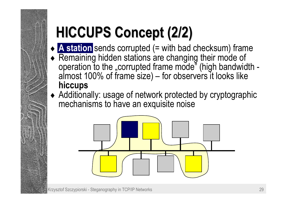# **HICCUPS Concept (2/2)**

- ♦ **A station** sends corrupted (= with bad checksum) frame
- ♦ Remaining hidden stations are changing their mode of operation to the "corrupted frame mode" (high bandwidth almost 100% of frame size) – for observers it looks like **hiccups**
- ♦ Additionally: usage of network protected by cryptographic mechanisms to have an exquisite noise

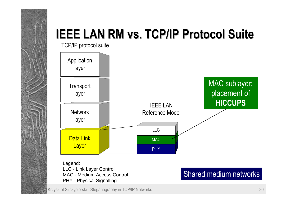

TCP/IP protocol suite



Legend: LLC - Link Layer Control MAC - Medium Access Control PHY - Physical Signalling

#### Krzysztof Szczypiorski - Steganography in TCP/IP Networks 30

#### Shared medium networks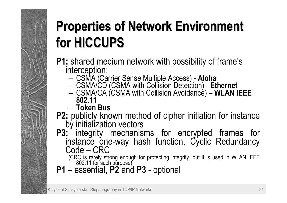# **Properties of Network Environment for HICCUPS for HICCUPS**

# **P1:** shared medium network with possibility of frame's interception:

- CSMA (Carrier Sense Multiple Access) **Aloha**
- CSMA/CD (CSMA with Collision Detection) **Ethernet**
- CSMA/CA (CSMA with Collision Avoidance) **WLAN IEEE**<br>802.11
- − **Token Bus**
- 
- **P2:** publicly known method of cipher initiation for instance by initialization vectors **P3:** integrity mechanisms for encrypted frames for instance one-way hash function, Cyclic Redundancy  $Code - CRC$

(CRC is rarely strong enough for protecting integrity, but it is used in WLAN IEEE 802.11 for such purpose)<br>**P1** - essential. **P2** and **P3** - optional

 ñ essential, **P2** and **P3**  -- optional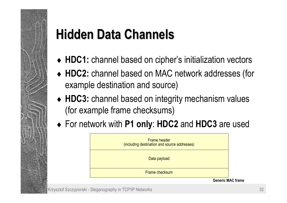# **Hidden Data Channels Data Channels**

- ♦ **HDC1:** channel based on cipherís initialization vectors
- ♦ **HDC2:** channel based on MAC network addresses (for example destination and source)
- ♦ **HDC3:** channel based on integrity mechanism values (for example frame checksums)
- ♦ For network with **P1 only**: **HDC2** and **HDC3** are used

| <b>Frame header</b><br>(including destination and source addresses) |
|---------------------------------------------------------------------|
| Data payload                                                        |
| Frame checksum                                                      |

**Generic MAC frame**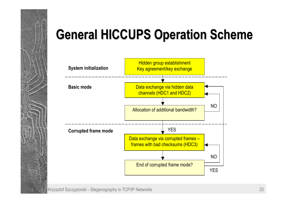

### **General HICCUPS Operation Scheme General HICCUPS Operation Scheme**

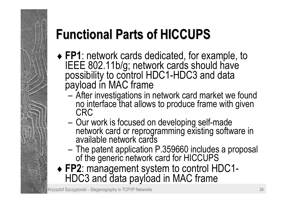# **Functional Functional Parts of HICCUPS of HICCUPS**

- FP1: network cards dedicated, for example, to **FRUA**: IEEE 802.11b/g; network cards should have possibility to control HDC1-HDC3 and data payload in MAC frame
	- ñ After investigations in network card market we found<br>no interface that allows to produce frame with given<br>CRC
	- ñ Our work is focused on developing self-made<br>network card or reprogramming existing software in<br>available network cards
	- ñ The patent application P.359660 includes a proposal<br>of the generic network card for HICCUPS
- ♦ **FP2**: management system to control HDC1- HDC3 and data payload in MAC frame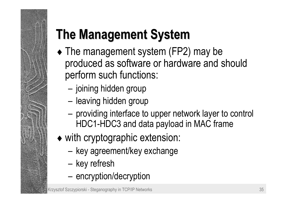# **The Management System The Management System**

- The management system (FP2) may be produced as software or hardware and should perform such functions:
	- ñ– joining hidden group
	- **ñ** – Ieaving hidden group
	- ñ providing interface to upper network layer to control HDC1-HDC3 and data payload in MAC frame
- ♦ with cryptographic extension:
	- ñ– key agreement/key exchange
	- **ñ** – key refresh
	- ñ- encryption/decryption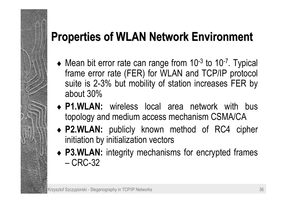#### **Properties of WLAN Network Environment**

- $\blacklozenge$  Mean bit error rate can range from 10<sup>-3</sup> to 10<sup>-7</sup>. Typical frame error rate (FER) for WLAN and TCP/IP protocol suite is 2-3% but mobility of station increases FER by about 30%
- ♦ **P1.WLAN:** wireless local area network with bus topology and medium access mechanism CSMA/CA
- ♦ **P2.WLAN:** publicly known method of RC4 cipher initiation by initialization vectors
- ♦ **P3.WLAN:** integrity mechanisms for encrypted frames – CRC-32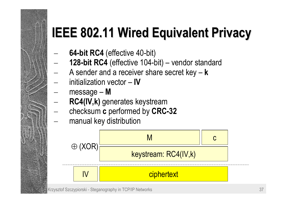## **IEEE 802.11 Wired Equivalent Privacy**

- −− **64-bit RC4** (effective 40-bit)
- −− **128-bit RC4** (effective 104-bit) – vendor standard
- −− A sender and a receiver share secret key – **k** −− initialization vector - **IV**
- −− message – M
- −− **RC4(IV,k)** generates keystream
- −− checksum **c** performed by **CRC-32**
- −manual key distribution

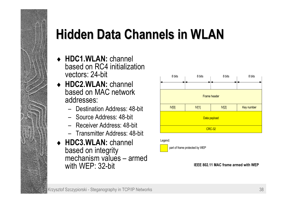# **Hidden Data Channels in WLAN Data Channels in WLAN**

- ♦ **HDC1.WLAN:** channel based on RC4 initialization vectors: 24-bit
- ♦ **HDC2.WLAN:** channel based on MAC network addresses:
	- $-$  Destination Address: 48-bit
	- ñ Source Address: 48-bit
	- Receiver Address: 48-bit
	- Transmitter Address: 48-bit
- ♦ **HDC3.WLAN:** channel based on integrity mechanism values – armed with WEP: 32-bit



#### Legend:

part of frame protected by WEP

**IEEE 802.11 MAC frame armed with WEP**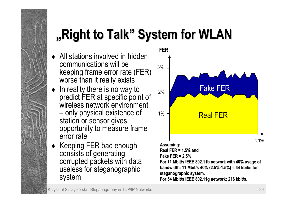## **,, Right to Talk**" System for WLAN

- $\triangleleft$  All stations involved in hidden communications will be keeping frame error rate (FER) worse than it really exists
- $\bullet$  In reality there is no way to predict FER at specific point of wireless network environment – only physical existence of station or sensor gives opportunity to measure frame error rate
- ◆ Keeping FER bad enough consists of generating corrupted packets with data useless for steganographic system

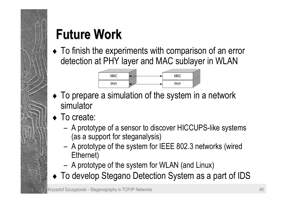

## **Future Work**

♦ To finish the experiments with comparison of an error detection at PHY layer and MAC sublayer in WLAN



- To prepare a simulation of the system in a network simulator
- ◆ To create:
	- A prototype of a sensor to discover HICCUPS-like systems (as a support for steganalysis)
	- A prototype of the system for IEEE 802.3 networks (wired Ethernet)
	- A prototype of the system for WLAN (and Linux)
- ♦ To develop Stegano Detection System as a part of IDS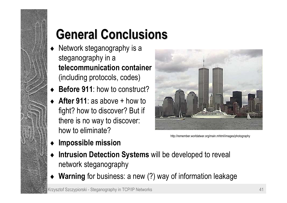## **General Conclusions General Conclusions**

- ♦ Network steganography is a steganography in a **telecommunication container**(including protocols, codes)
- ♦**Before 911**: how to construct?
- ◆ **After 911**: as above + how to fight? how to discover? But if there is no way to discover: how to eliminate?



http://remember.worldatwar.org/main.mhtml/images/photography

- ♦**Impossible mission**
- ♦ **Intrusion Detection Systems** will be developed to reveal network steganography
- ♦ **Warning** for business: a new (?) way of information leakage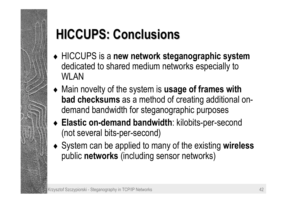### **HICCUPS: HICCUPS: Conclusions Conclusions**

- ♦ HICCUPS is a **new network steganographic system** dedicated to shared medium networks especially to WLAN
- ♦ Main novelty of the system is **usage of frames with bad checksums** as a method of creating additional ondemand bandwidth for steganographic purposes
- ♦ **Elastic on-demand bandwidth**: kilobits-per-second (not several bits-per-second)
- ♦ System can be applied to many of the existing **wireless**  public **networks** (including sensor networks)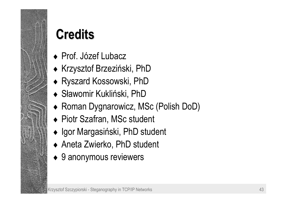

#### ◆ Prof. Józef Lubacz ♦ Krzysztof Brzeziński, PhD

- ♦ Ryszard Kossowski, PhD
- ♦ Sławomir Kukliński, PhD
- ♦ Roman Dygnarowicz, MSc (Polish DoD)
- ◆ Piotr Szafran, MSc student
- ♦ Igor Margasiński, PhD student
- ♦ Aneta Zwierko, PhD student
- 9 anonymous reviewers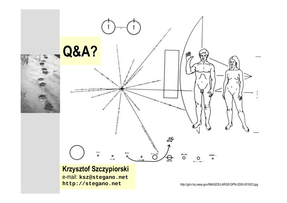

e-mail: **ksz@stegano.net http://stegano.net**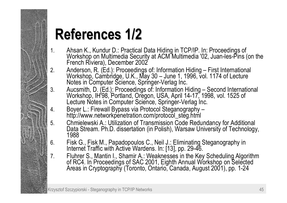# **References References 1/2**

- 1.Ahsan K., Kundur D.: Practical Data Hiding in TCP/IP. In: Proceedings of Workshop on Multimedia Security at ACM Multimedia '02, Juan-les-Pins (on the French Riviera), December 2002
- 2.. Anderson, R. (Ed.): Proceedings of: Information Hiding – First International<br>Workshop, Cambridge, U.K., May 30 – June 1, 1996, vol. 1174 of Lecture Notes in Computer Science, Springer-Verlag Inc.
- 3.. Aucsmith, D. (Ed.): Proceedings of: Information Hiding – Second International Workshop, IH'98, Portland, Oregon, USA, April 14-17, 1998, vol. 1525 of Lecture Notes in Computer Science, Springer-Verlag Inc.<br>Boyer L.: Firewall Bypass via Protocol Steganography –
- 4.http://www.networkpenetration.com/protocol\_steg.html
- 5.Chmielewski A.: Utilization of Transmission Code Redundancy for Additional<br>Data Stream. Ph.D. dissertation (in Polish), Warsaw University of Technology,<br>1988
- 6.Fisk G., Fisk M., Papadopoulos C., Neil J.: Eliminating Steganography in Internet Traffic with Active Wardens. In: [13], pp. 29-46.
- 7.Fluhrer S., Mantin I., Shamir A.: Weaknesses in the Key Scheduling Algorithm of RC4. In Proceedings of SAC 2001, Eighth Annual Workshop on Selected Areas in Cryptography (Toronto, Ontario, Canada, August 2001), pp. 1-24